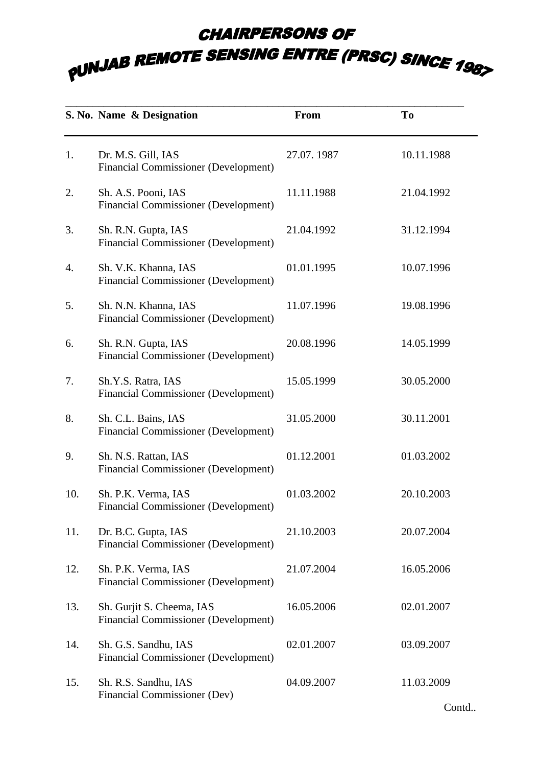## **CHAIRPERSONS OF PUNJAB REMOTE SENSING ENTRE (PRSC) SINCE 1987**

|     | S. No. Name & Designation                                                | From       | To         |
|-----|--------------------------------------------------------------------------|------------|------------|
| 1.  | Dr. M.S. Gill, IAS<br><b>Financial Commissioner (Development)</b>        | 27.07.1987 | 10.11.1988 |
| 2.  | Sh. A.S. Pooni, IAS<br><b>Financial Commissioner (Development)</b>       | 11.11.1988 | 21.04.1992 |
| 3.  | Sh. R.N. Gupta, IAS<br><b>Financial Commissioner (Development)</b>       | 21.04.1992 | 31.12.1994 |
| 4.  | Sh. V.K. Khanna, IAS<br><b>Financial Commissioner (Development)</b>      | 01.01.1995 | 10.07.1996 |
| 5.  | Sh. N.N. Khanna, IAS<br><b>Financial Commissioner (Development)</b>      | 11.07.1996 | 19.08.1996 |
| 6.  | Sh. R.N. Gupta, IAS<br><b>Financial Commissioner (Development)</b>       | 20.08.1996 | 14.05.1999 |
| 7.  | Sh.Y.S. Ratra, IAS<br><b>Financial Commissioner (Development)</b>        | 15.05.1999 | 30.05.2000 |
| 8.  | Sh. C.L. Bains, IAS<br><b>Financial Commissioner (Development)</b>       | 31.05.2000 | 30.11.2001 |
| 9.  | Sh. N.S. Rattan, IAS<br><b>Financial Commissioner (Development)</b>      | 01.12.2001 | 01.03.2002 |
| 10. | Sh. P.K. Verma, IAS<br><b>Financial Commissioner (Development)</b>       | 01.03.2002 | 20.10.2003 |
| 11. | Dr. B.C. Gupta, IAS<br><b>Financial Commissioner (Development)</b>       | 21.10.2003 | 20.07.2004 |
| 12. | Sh. P.K. Verma, IAS<br><b>Financial Commissioner (Development)</b>       | 21.07.2004 | 16.05.2006 |
| 13. | Sh. Gurjit S. Cheema, IAS<br><b>Financial Commissioner (Development)</b> | 16.05.2006 | 02.01.2007 |
| 14. | Sh. G.S. Sandhu, IAS<br><b>Financial Commissioner (Development)</b>      | 02.01.2007 | 03.09.2007 |
| 15. | Sh. R.S. Sandhu, IAS<br>Financial Commissioner (Dev)                     | 04.09.2007 | 11.03.2009 |

Contd..